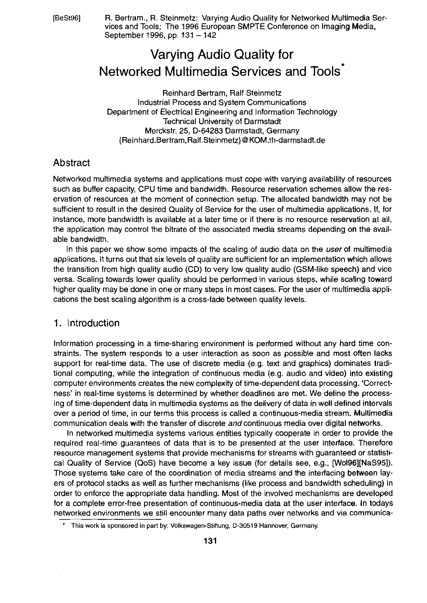**[Best961** R. Bertram., R. Steinmetz: Varying Audio Quality for Networked Multimedia Services and Tools; The 1996 European SMPTE Conference on lmaging Media, September 1996, pp. 131 - 142

# Varying Audio Quality for Networked Multimedia Services and Tools<sup>\*</sup>

Reinhard Bertram, Ralf Steinmetz Industrial Process and System Communications Department of Electrical Engineering and Information Technology Technical University of Darmstadt Merckstr. **25,** D-64283 Darmstadt. Germany {Reinhard.Bertram,Ralf.Steinmetz)@KOM.th-darmstadt.de

#### Abstract

Networked multimedia systems and applications must cope with varying availability of resources such as buffer capacity, CPU time and bandwidth. Resource reservation schemes allow the reservetion of resources at the moment of connection setup. The allocated bandwidth may not be sufficient to result in the desired Quality of Service for the user of multimedia applications. If, for instance, more bandwidth is available at a later time or if there is no resource reservation at all, the application may control the bitrate of the associated media streams depending on the available bandwidth.

In this paper we show some impacts of the scaling of audio data on the **user** of multimedia applications. It turns out that six levels of quality are sufficient for an implementation which allows the transition from high quality audio (CD) to very low quality audio (GSM-like speech) and vice versa. Scaling towards lower quality should be performed in various steps, while scaling toward higher quality may be done in one or many steps in most cases. For the user of multimedia applications the best scaling algorithm is a cross-fade between quality levels.

#### 1. Introduction

Information processing in a time-sharing environment is performed without any hard time constraints. The system responds to a user interaction as soon as possible and most often lacks Support for real-time data. The use of discrete media (e.g. text and graphics) dominates traditional computing, while the integration of continuous media (e.g. audio and video) into existing Computer environments creates the new complexity of time-dependent data processing. 'Correctness' in real-time systems is determined by whether deadlines are met. We define the processing of time-dependent data in multimedia systems as the delivery of data in well defined intervals over a period of time, in our terms this process is called a continuous-media stream. Multimedia communication deals with the transfer of discrete and continuous media over digital networks.

In networked multimedia systems various entities typically cooperate in order to provide the required real-time guarantees of data that is to be presented at the user interface. Therefore resource management systems that provide mechanisms for streams with guaranteed or statistical Ouality of Service (QoS) have become a key issue (for details See, e.g., [Wo196][NaS95]). Thooe systems take care of the coordination of media streams and the interiacing between layers of protocol stacks as well as further mechanisms (like process and bandwidth scheduling) in order to enforce the appropriate data handling. Most of the involved mechanisms are developed for a complete error-free presentation of continuous-media data at the user interface. In todays networked environments we still encounter many data paths over networks and via communica-

<sup>\*</sup> This work is sponsored in part by: Volkswagen-Stiftung, D-30519 Hannover, Germany.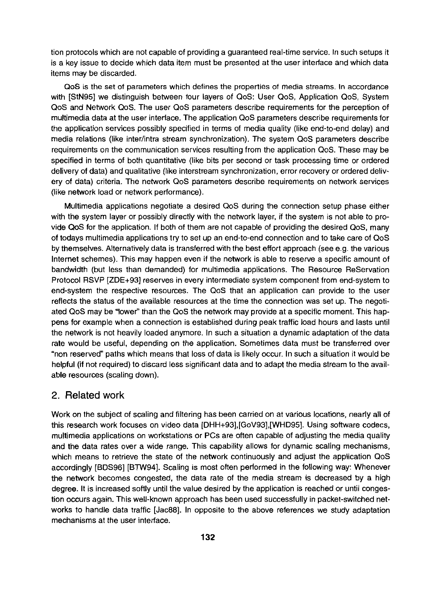tion protocols which are not capable of providing a guaranteed real-time service. In such setups it is a key issue to decide which data itern must be presented at the user interface and which data items may be discarded.

**QoS** is the Set of parameters which defines the properties of media streams. In accordance with [StN95] we distinguish between four layers of QoS: User QoS, Application QoS, System QoS and Network OoS. The user QoS pararneters describe requirements for the perception of multimedia data at the user interface. The application QoS parameters describe requirements for the application services possibly specified in terms of media quality (like end-to-end delay) and media relations (like interlintra stream synchronization). The system QoS pararneters describe requirements on the communication services resulting from the application QoS. These may be specified in terms of both quantitative (like bits per second or task processing time or ordered delivery of data) and qualitative (like interstream synchronization, error recovery or ordered delivery of data) criteria. The network QoS parameters describe requirements on network services (like network load or network periormance).

Multimedia applications negotiate a desired QoS during the connection setup phase either with the system layer or possibly directly with the network layer, if the system is not able to provide QoS for the application. If both of them are not capable of providing the desired QoS, many of todays multimedia applications try to Set up an end-to-end connection and to take care of QoS by themselves. Alternatively data is transferred with the best effort approach (see e.g. the various Internet schemes). This may happen even if the network is able to reserve a specific amount of bandwidth (but less than demanded) for multimedia applications. The Resource Reservation Protocol RSVP [ZDE+93] reserves in every intermediate system component from end-system to end-system the respective resources. The QoS that an application can provide to the user reflects the Status of the available resources at the time the connection was set up. The negotiated QoS may be "lower" than the QoS the network may provide at a specific moment. This happens for example when a connection is established during peak traffic load hours and lasts until the network is not heavily loaded anymore. In such a Situation a dynamic adaptation of the data rate would be useful, depending on the application. Sometimes data must be transferred over "non reserved" paths which means that loss of data is likely occur. In such a situation it would be helpful (if not required) to discard less significant data and to adapt the media stream to the available resources (scaling down).

#### 2. **Related** work

Work on the subject of scaling and filtering has been carried on at various locations. nearly all of this research work focuses on video data [DHH+93], [GoV93], [WHD95]. Using software codecs, multimedia applications on workstations or PCs are often capable of adjusting the media quality and the data rates over a wide range. This capability allows for dynamic scaling mechanisms, which means to retrieve the state of the network continuously and adjust the application QoS accordingly [BDS96] [BTW94]. Scaling is most often periormed in the following way: Whenever the network becomes congested, the data rate of the media stream is decreased by a high degree. It is increased softly until the value desired by the application is reached or until congestion occurs again. This well-known approach has been used successfully in packet-switched networks to handle data traffic [Jac88]. In opposite to the above references we study adaptation mechanisms at the user interface.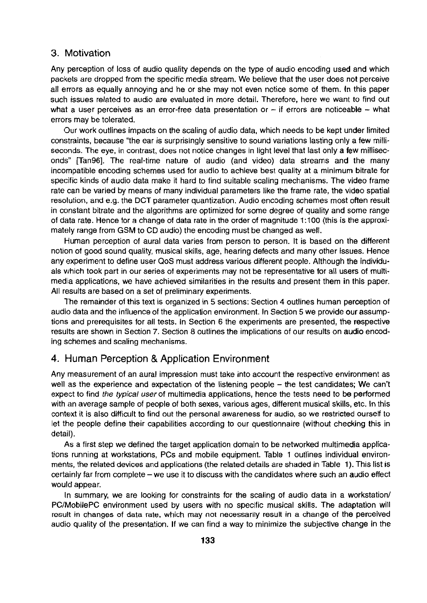#### 3. Motivation

Any perception of loss of audio quality depends on the type of audio encoding used and which packets are dropped from the specific media stream. We believe that the user does not perceive all errors as equally annoying and he or she may not even notice some of them. In this paper such issues related to audio are evaluated in more detail. Therefore, here we Want to find out what a user perceives as an error-free data presentation or  $-$  if errors are noticeable  $-$  what errors may be tolerated.

Our work outlines impacts on the scaling of audio data, which needs to be kept under limited constraints, because "the ear is surprisingly sensitive to sound variations lasting only a few milliseconds. The eye, in contrast, does not notice changes in light level that last only a few milliseconds" [Tan96]. The real-time nature of audio (and video) data streams and the many incompatible encoding schemes used for audio to achieve best quality at a minimum bitrate for specific kinds of audio data make it hard to find suitable scaling mechanisms. The video frame rate can be varied by means of many individual parameters like the frame rate, the video spatial resolution, and e.g. the DCT parameter quantization. Audio encoding schemes most often result in constant bitrate and the algorithms are optimized for some degree of quality and some range of data rate. Hence for a change of data rate in the order of magnitude 1:100 (this is the approximately range from GSM to CD audio) the encoding must be changed as well.

Human perception of aural data varies from person to person. It is based on the different notion of good sound quality, musical skills, age, hearing defects and many other issues. Hence any experiment to define user QoS must address various different people. Although the individuals which took part in our series of experiments may not be representative for all users of multimedia applications, we have achieved similarities in the results and present them in this paper. All results are based on a Set of preliminary experiments.

The remainder of this text is organized in 5 sections: Section **4** outlines human perception of audio data and the influence of the application environment. In Section 5 we provide our assumptions and prerequisites for all tests. In Section 6 the experiments are presented, the respective results are shown in Section 7. Section **8** outlines the implications of our results on audio encoding schemes and scaling mechanisms.

#### 4. Human Perception & Application Environment

Any measurement of an aural impression must take into account the respective environment as well as the experience and expectation of the listening people  $-$  the test candidates; We can't expect to find *the typical user* of multimedia applications, hence the tests need to be performed with an average sample of people of both sexes, various ages, different musical skills, etc. In this context it is also difficult to find out the personal awareness for audio, so we restricted ourself to let the people define their capabilities according to our questionnaire (without checking this in detail).

As a first step we defined the target application domain to be networked multimedia applications running at workstations, PCs and mobile equipment. Table 1 outlines individual environments, the related devices and applications (the related details are shaded in Table 1). This list is certainly far from complete – we use it to discuss with the candidates where such an audio effect woulcl appear.

In summary, we are looking for constraints for the scaling of audio data in a workstation/ PCIMobilePC environment used by users with no specific musical skills. The adaptation will result in changes of data rate, which may not necessarily resuit in a change of the perceived audio quality of the presentation. If we can find a way to minimize the subjective change in the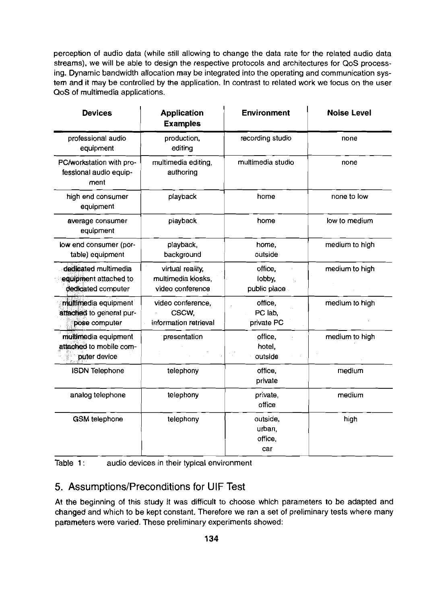perception of audio data (while still allowing to change the data rate for the related audio data streams). we will be able to design the respective protocols and architectures for QoS processing. Dynamic bandwidth allocation may be integrated into the operating and communication system and it may be controlled by the application. In contrast to related work we focus on the user QoS of multimedia applications.

| <b>Devices</b>                                                      | <b>Application</b><br><b>Examples</b>                      | <b>Environment</b>                                              | <b>Noise Level</b> |  |  |
|---------------------------------------------------------------------|------------------------------------------------------------|-----------------------------------------------------------------|--------------------|--|--|
| professional audio<br>equipment                                     | production,<br>editing                                     | recording studio                                                | none               |  |  |
| PC/workstation with pro-<br>fessional audio equip-<br>ment          | multimedia editing,<br>authoring                           | multimedia studio                                               | none               |  |  |
| high end consumer<br>equipment                                      | playback                                                   | home                                                            | none to low        |  |  |
| average consumer<br>equipment                                       | playback                                                   | home                                                            | low to medium      |  |  |
| low end consumer (por-<br>table) equipment                          | playback,<br>background                                    | home,<br>outside                                                | medium to high     |  |  |
| dedicated multimedia<br>equipment attached to<br>dedicated computer | virtual reality,<br>multimedia kiosks,<br>video conference | office.<br>lobby,<br>$\mathbb{E}^{\mathbb{Z}}$<br>public place. | medium to high     |  |  |
| multimedia equipment<br>attached to general pur-<br>pose computer   | video conference,<br>CSCW.<br>information retrieval        | office.<br>PC lab.<br>private PC                                | medium to high     |  |  |
| multimedia equipment<br>attached to mobile com-<br>puter device     | presentation                                               | office.<br>hotel,<br>outside                                    | medium to high     |  |  |
| <b>ISDN Telephone</b>                                               | telephony                                                  | office.<br>private                                              | medium             |  |  |
| analog telephone                                                    | telephony                                                  | private,<br>office                                              | medium             |  |  |
| <b>GSM</b> telephone<br>telephony                                   |                                                            | outside,<br>urban,<br>office.<br>car                            | high               |  |  |

Table 1: audio devices in their typical environment

# **5.** Assumptions/Preconditions for UIF Test

At the beginning of this study **it** was difficult to choose which parameters to be adapted and changed and which tobe kept constant. Therefore we ran a Set of preliminary tests where many parameters were varied. These preliminary experiments showed: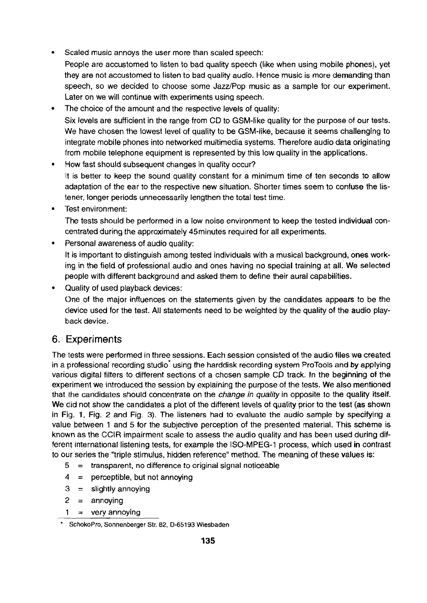Scaled music annoys the user more than scaled speech:

People are accustomed to listen to bad quality speech (like when using mobile phones), yet they are not accustomed to listen to bad quality audio. Hence music is more demanding than speech, so we decided to choose some Jazz/Pop music as a sample for our experiment. Later on we will continue with experiments using speech.

- $\bullet$ The choice of the amount and the respective levels of quality: Six levels are sufficient in the range from CD to GSM-like quality for the purpose of our tests. 'We have chosen the lowest level of quality to be GSM-like, because it seems challenging to integrate mobile phones into networked multimedia Systems. Therefore audio data originating from mobile telephone equipment is represented by this low quality in the applications.
- How fast should subsequent changes in quality occur? It is better to keep the sound quality constant for a minimum time of ten seconds to allow adaptation of the ear to the respective new situation. Shorter times seem to confuse the listener, longer periods unnecessarily lengthen the total test time.
- 'Test environment:

The tests should be performed in a low noise environment to keep the tested individual concentrated during the approximately 45 minutes required for all experiments.

- $\bullet$ Personal awareness of audio quality: It is important to distinguish among tested individuals with a musical background, ones working in the field of professional audio and ones having no Special training at all. We selected people with different background and asked them to define their aural capabilities.
- Quality of used playback devices: One of the major influences on the Statements given by the candidates appears to be the clevice used for the test. All Statements need to be weighted by the quality of the audio playback device.

# **6. Experiments**

The tests were performed in three sessions. Each session consisted of the audio files we created in a professional recording studio<sup>\*</sup> using the harddisk recording system ProTools and by applying various digital filters to different sections of a chosen sample CD track. In the beginning of the experiment we introduced the session by explaining the purpose of the tests. We also mentioned that l!he candidates should concentrate on the **change** in **quality** in opposite to the quality itself. We did not show the candidates a plot of the different levels of quality prior to the test (as shown in Fig. 1, Fig. 2 and Fig. 3). The listeners had to evaluate the audio sample by specifying a value between 1 and 5 for the subjective perception of the presented material. This scheme is known as the CClR impairment scale to assess the audio quality and has been used during different international listening tests, for example the ISO-MPEG-1 process, which used in contrast to our series the "triple stimulus, hidden reference" method. The meaning of these values is:

- $5 =$  transparent, no difference to original signal noticeable
- $4 =$  perceptible, but not annoying
- $3 =$  slightly annoying
- $2 =$ annoying
- $1 = \text{very annoying}$

**SchokoPro, Sonnenberger Str. 82, D-65193 Wiesbaden**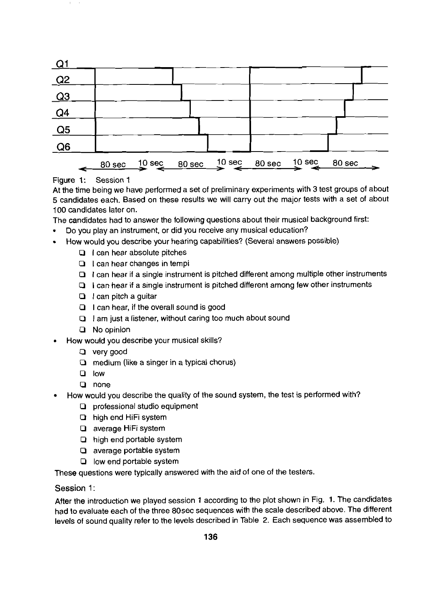

#### Figure 1: Session 1

At the time being we have performed a set of preliminary experiments with 3 test groups of about 5 candidates each. Based on these results we will carry out the rnajor tests with a Set of about 100 candidates later On.

100 candidates later on.<br>The candidates had to answer the following questions about their musical background first:

- Do you play an instrument, or did you receive any musical education?  $\bullet$
- How would you describe your hearing capabilities? (Several answers possible)
	- **Q** i can hear absolute pitches
	- O I can hear changes in ternpi
	- $\Box$  I can hear if a single instrument is pitched different among multiple other instruments
	- $\Box$  I can hear if a single instrument is pitched different among few other instruments
	- $\Box$  I can pitch a guitar
	- **O** I can hear, if the overall sound is good
	- $\Box$  I am just a listener, without caring too much about sound
	- **O** No opinion
- How would you describe your musical skills?
	- O very good
	- $\Box$  medium (like a singer in a typical chorus)
	- **0** low
	- **O** none
- How would you describe the quality of the sound system, the test is performed with?
	- **Q** professional studio equipment
	- O high end HiFi systern
	- **Q** average HiFi system
	- **O** high end portable systern
	- O average portable systern
	- **Q** low end portable system

These questions were typically answered with the aid of one of the testers.

#### Session 1:

After the introduction we played session 1 according to the plot shown in Fig. 1. The candidates had to evaluate each of the three 80sec sequences with the scale described above. The different levels of sound quality refer to the levels described in Table 2. Each sequence was assembled to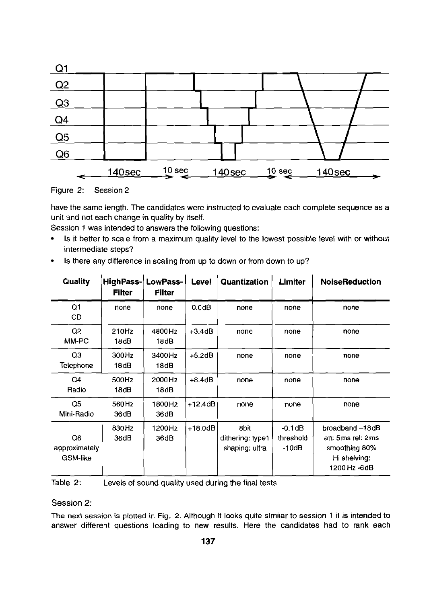

Figure 2: Session 2

- $\bullet$ Is it better to scale from a maximum quality level to the lowest possible level with or without iriterrnediate steps?
- Is there any difference in scaling from up to down or from down to up?

| Q <sub>1</sub>                                             |                |                      |             |                                                                                                                                         |                        |                                                                                                       |
|------------------------------------------------------------|----------------|----------------------|-------------|-----------------------------------------------------------------------------------------------------------------------------------------|------------------------|-------------------------------------------------------------------------------------------------------|
| Q2                                                         |                |                      |             |                                                                                                                                         |                        |                                                                                                       |
| $Q_3$                                                      |                |                      |             |                                                                                                                                         |                        |                                                                                                       |
| Q <sub>4</sub><br>Q5                                       |                |                      |             |                                                                                                                                         |                        |                                                                                                       |
| Q6                                                         |                |                      |             |                                                                                                                                         |                        |                                                                                                       |
| Figure 2: Session 2                                        | 140sec         | $\rightarrow$ 10 sec |             | 140sec                                                                                                                                  | $\frac{10}{2}$ sec     | 140sec                                                                                                |
| unit and not each change in quality by itself.             |                |                      |             |                                                                                                                                         |                        | have the same length. The candidates were instructed to evaluate each complete sequence as a          |
| Session 1 was intended to answers the following questions: |                |                      |             |                                                                                                                                         |                        | • Is it better to scale from a maximum quality level to the lowest possible level with or without     |
| intermediate steps?                                        |                |                      |             | • Is there any difference in scaling from up to down or from down to up?                                                                |                        |                                                                                                       |
| <b>Quality</b>                                             | <b>Filter</b>  | <b>Filter</b>        |             | $\left \mathsf{HighPass}\right \mathsf{LowPass}\left  \right. \mathsf{Level} \left. \right \mathsf{Quantization}\left  \right. \right $ | Limiter                | <b>NoiseReduction</b>                                                                                 |
| Q1<br>CD                                                   | none           | none                 | $0.0$ d $B$ | none                                                                                                                                    | none                   | none                                                                                                  |
| Q2<br>MM-PC                                                | 210Hz<br>18dB  | 4800Hz<br>18dB       | $+3.4$ dB   | none                                                                                                                                    | none                   | none                                                                                                  |
| Q3<br>Telephone                                            | 300Hz<br>18dB  | 3400Hz<br>18dB       | +5.2dB      | none                                                                                                                                    | none                   | none                                                                                                  |
| Q4<br>Radio                                                | 500Hz<br>18dB  | 2000Hz<br>18dB       | $+8.4dB$    | none                                                                                                                                    | none                   | none                                                                                                  |
| Q5<br>Mini-Radio                                           | 560 Hz<br>36dB | 1800Hz<br>36dB       | $ +12.4dB $ | none                                                                                                                                    | none                   | none                                                                                                  |
| Q6                                                         | 830Hz<br>36dB  | 1200Hz<br>36dB       | $+18.0dB$   | 8bit<br>$ $ dithering: type1 $ $                                                                                                        | $-0.1$ dB<br>threshold | broadband-18dB<br>att: 5ms rel: 2ms                                                                   |
| approximately<br>GSM-like                                  |                |                      |             | shaping: ultra                                                                                                                          | $-10dB$                | smoothing 80%<br>Hi shelving:<br>1200 Hz -6dB                                                         |
| Table 2:                                                   |                |                      |             | Levels of sound quality used during the final tests                                                                                     |                        |                                                                                                       |
| Session 2:                                                 |                |                      |             |                                                                                                                                         |                        | The next session is plotted in Fig. 2. Although it looks quite similar to session 1 it is intended to |
|                                                            |                |                      | 137         |                                                                                                                                         |                        | answer different questions leading to new results. Here the candidates had to rank each               |
|                                                            |                |                      |             |                                                                                                                                         |                        |                                                                                                       |
|                                                            |                |                      |             |                                                                                                                                         |                        |                                                                                                       |
|                                                            |                |                      |             |                                                                                                                                         |                        |                                                                                                       |
|                                                            |                |                      |             |                                                                                                                                         |                        |                                                                                                       |
|                                                            |                |                      |             |                                                                                                                                         |                        |                                                                                                       |
|                                                            |                |                      |             |                                                                                                                                         |                        |                                                                                                       |
|                                                            |                |                      |             |                                                                                                                                         |                        |                                                                                                       |
|                                                            |                |                      |             |                                                                                                                                         |                        |                                                                                                       |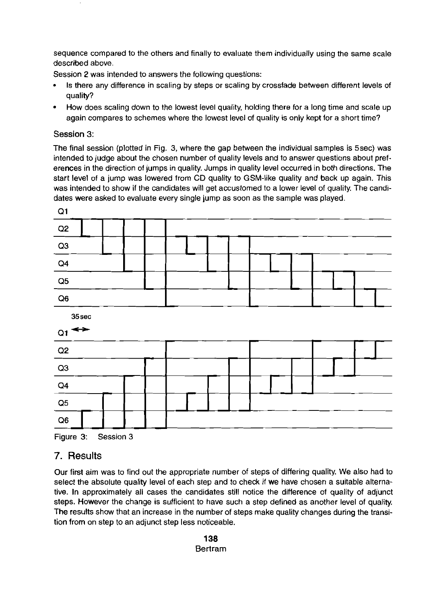sequence compared to the others and finally to evaluate them individually using the same scale described above.

Session 2 was intended to answers the following questions:

- $\bullet$ Is there any difference in scaling by steps or scaling by crossfade between different levels of quality?
- How does scaling down to the lowest level quality, holding there for a long time and scale up again compares to schemes where the lowest level of quality is only kept for a short time?

#### **Session 3:**

The final session (plotted in Fig. 3, where the gap between the individual samples is 5sec) was intended to judge about the chosen number of quality levels and to answer questions about preferences in the direction of jumps in qualiiy. Jurnps in quality level occurred in both directions. The start level of a jump was lowered from CD quality to GSM-like quality and back up again. This was intended to show if the candidates will get accustomed to a lower level of quality. The candidates were asked to evaluate every single jump as soon as the sample was played.



## **7.** Results

Our first aim was to find out the appropriate number of steps of difiering quality. We also had to select the absolute quality level of each step and to check if we have chosen a suitable alternative. In approximately all cases the candidates still notice the difierence of quality of adjunct steps. However the change is sufficient to have such a step defined as another level of quality. The results show that an increase in the number of steps make quality changes during the transition from on step to an adjunct step less noticeable.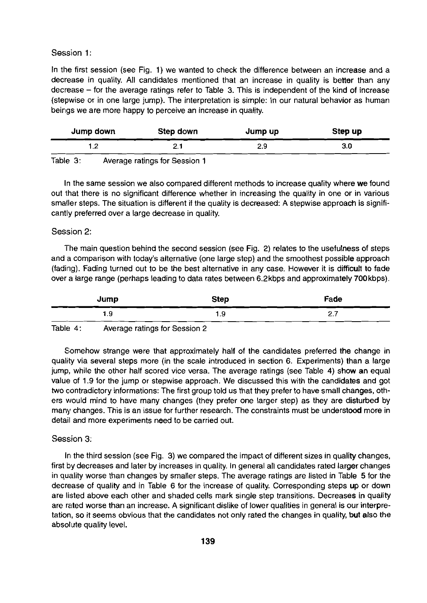#### Session 1:

In the first session (see Fig. 1) we wanted to check the difference between an increase and a decrease in quality. All candidates mentioned that an increase in quality is better than any decrease – for the average ratings refer to Table 3. This is independent of the kind of increase (stepwise or in one large jump). The interpretation is simple: In our natural behavior as human beings we are more happy to perceive an increase in quality.

| Jump down | Step down | Jump up | Step up |  |  |  |
|-----------|-----------|---------|---------|--|--|--|
|           |           | 2.9     | 3.0     |  |  |  |
| -         |           |         |         |  |  |  |

Table 3: Average ratings for Session 1

In the same session we also compared different methods to increase quality where we found out that there is no significant difference whether in increasing the quality in one or in various smaller steps. The situation is different if the quality is decreased: A stepwise approach is significantly preferred over a large decrease in quality.

#### Session 2:

The main question behind the second session (see Fig. 2) relates to the usefulness of steps and a comparison with today's alternative (one large step) and the smoothest possible approach (fading). Fading turned out to be the best alternative in any case. However it is difficult to fade over a large range (perhaps leading to data rates between 6.2kbps and approximately 700kbps).

| Jump | <b>Step</b> | Fade         |
|------|-------------|--------------|
| l.9  | l .Y        | $\epsilon$ . |

Table 4: Average ratings for Session 2

Somehow Strange were that approximately half of the candidates preferred the change in quality via several steps more (in the scale introduced in section 6. Experiments) than a large jump, while the other half scored vice versa. The average ratings (see Table **4)** show an equal value of 1.9 for the jump or stepwise approach. We discussed this with the candidates and got two contradictory informations: The first group told us that they prefer to have small changes, others would mind to have many changes (they prefer one larger step) as they are disturbed by many changes. This is an issue for further research. The constraints must be understood more in detail and more experiments need to be carried out.

#### Session 3:

In the third session (see Fig. 3) we compared the impact of different sizes in quality changes, first by decreases and later by increases in quality. In general all candidates rated larger changes in quality worse than changes by smaller steps. The average ratings are listed in Table **5** for the decrease of quality and in Table 6 for the increase of quality. Corresponding steps up or down are listed above each other and shaded cells mark single step transitions. Decreases in quality are rated worse than an increase. A significant dislike of lower qualities in general is our interpretation. so it seems obvious that the candidates not only rated the changes in quality, but also the absolute quality level.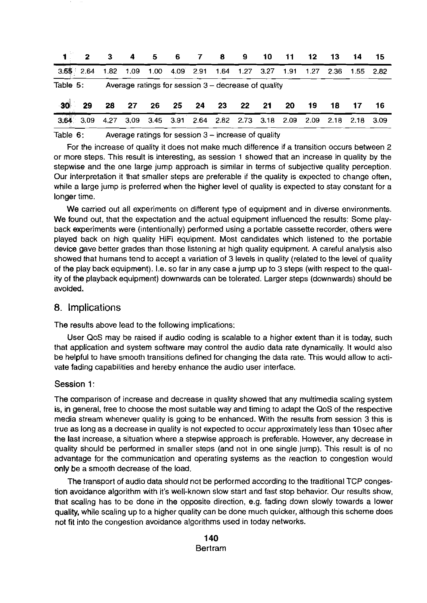|          |      | 3  | 4  | 5  | 6  | $\mathbf{7}$ | 89    |                                                        | - 10 | $\overline{11}$ | 12   | 13   | 14                  | -15  |
|----------|------|----|----|----|----|--------------|-------|--------------------------------------------------------|------|-----------------|------|------|---------------------|------|
| 3.55     | 2.64 |    |    |    |    |              |       | 1.82  1.09  1.00  4.09  2.91  1.64  1.27  3.27         |      | 1.91            | 1.27 | 2.36 | 1.55 2.82           |      |
| Table 5: |      |    |    |    |    |              |       | Average ratings for session $3 -$ decrease of quality  |      |                 |      |      |                     |      |
| $-30$    | -29  | 28 | 27 | 26 | 25 |              | 24 23 | 22                                                     | 21   | -20             | -19  | -18  | $\overline{17}$     | - 16 |
|          |      |    |    |    |    |              |       | 3,64 3.09 4.27 3.09 3.45 3.91 2.64 2.82 2.73 3.18 2.09 |      |                 |      |      | 2.09 2.18 2.18 3.09 |      |

Table 6: Average ratings for session 3 - increase of quality

For the increase of quality it does not make much difference if a transition occurs between 2 or more steps. This result is interesting, as session 1 showed that an increase in quality by the stepwise and the one large jurnp approach is sirnilar in terrns of subjective quality perception. Our interpretation it that srnaller steps are preferable if the quality is expected to change often, while a large jump is preferred when the higher level of quality is expected to stay constant for a longer time.

We carried out all experiments on different type of equipment and in diverse environments. We found out, that the expectation and the actual equipment influenced the results: Some playback experiments were (intentionally) performed using a portable cassette recorder, others were played back on high quality HiFi equiprnent. Most candidates which listened to the portable device gave better grades than those listening at high quality equiprnent. A careful analysis also showed that humans tend to accept a variation of 3 levels in quality (related to the level of quality of the play back equipment). I.e. so far in any case a jump up to 3 steps (with respect to the quality of the playback equiprnent) downwards can be tolerated. Larger steps (downwards) should be avoided.

#### **8.** lmplications

The results above lead to the following implications:

User QoS rnay be raised if audio coding is scalable to a higher extent than it is today, such that application and system software may control the audio data rate dynamically. It would also be helpful to have srnooth transitions defined for changing the data rate. This would allow to activate fading capabilities and hereby enhance the audio user interface.

#### Session 1:

The comparison of increase and decrease in quality showed that any multimedia scaling system is, in general. free to choose the rnost suitable way and tirning to adapt the QoS of the respective media stream whenever quality is going to be enhanced. With the results from session 3 this is true as long as a decrease in quality is not expected to occur approximately less than 10 sec after the last increase, a Situation where a stepwise approach is preferable. However, any decrease in quality should be perforrned in srnaller steps (and not in one Single jump). This result is of no advantage for the cornmunication and operating systerns as the reaction to congestion would only be a srnooth decrease of the load.

The transport of audio data should not be performed according to the traditional TCP congestion avoidance algorithm with it's well-known slow Start and fast stop behavior. Our results show, that scaling has to be done in the opposite direction, e.g. fading down slowly towards a lower quality, while scaling up to a higher quality can be done much quicker, although this scheme does not fit into the congestion avoidance algorithrns used in today networks.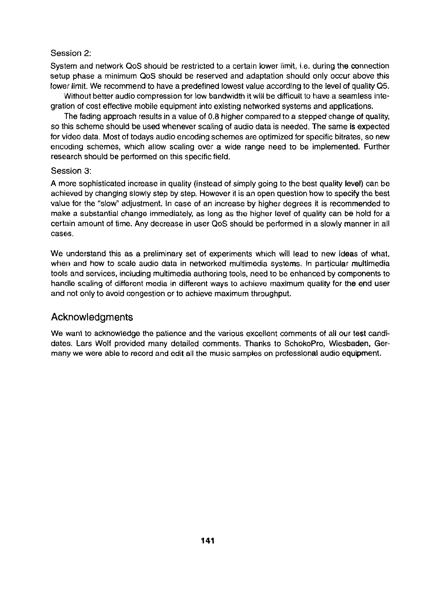#### Session 2:

System and network QoS should be restricted to a certain lower limit, i.e. during the connection setup phase a minimum QoS should be reserved and adaptation should only occur above this lower limit. We recommend to have a predefined lowest value according to the level of quality Q5.

'Without better audio compression for low bandwidth it will be difficult to have a seamless integration of cost effective mobile equipment into existing networked systems and applications.

'The fading approach results in a value of 0.8 higher compared to a stepped change of quality, so this scheme should be used whenever scaling of audio data is needed. The same is expected for video data. Most of todays audio encoding schemes are optimized for specific bitrates, so new encoding schemes, which allow scaling over a wide range need to be implemented. Further research should be performed on this specific field.

#### Session 3:

A more sophisticated increase in quality (instead of simply going to the best quality level) can be achieved by changing slowly step by step. However it is an Open question how to specify the best value for the "slow" adjustment. In case of an increase by higher degrees it is recommended to make a substantial change immediately, as long as the higher level of quality can be hold for a certain amount of time. Any decrease in user QoS should be performed in a slowly manner in all cases.

We understand this as a preliminary set of experiments which will lead to new ideas of what, when and how to scale audio data in networked multimedia systems. In particular multimedia tools and services, including multimedia authoring tools, need to be enhanced by components to handle scaling of different media in different ways to achieve maximum quality for the end user and not only to avoid congestion or to achieve maximum throughput.

#### **Acknowledgments**

We want to acknowledge the patience and the various excellent comments of all our test candidates. Lars Wolf provided many detailed comments. Thanks to SchokoPro, Wiesbaden, Germany we were able to record and edit all the music samples on professional audio equipment.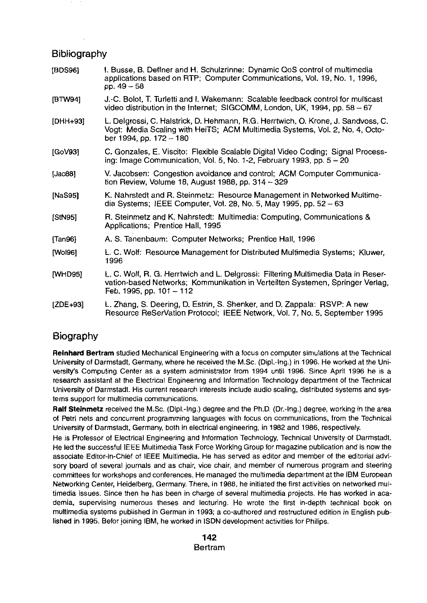#### **Bibliography**

| [BDS96]     | I. Busse, B. Deffner and H. Schulzrinne: Dynamic QoS control of multimedia<br>applications based on RTP; Computer Communications, Vol. 19, No. 1, 1996,<br>pp. 49 – 58                         |
|-------------|------------------------------------------------------------------------------------------------------------------------------------------------------------------------------------------------|
| [BTW94]     | J.-C. Bolot, T. Turletti and I. Wakemann: Scalable feedback control for multicast<br>video distribution in the Internet; SIGCOMM, London, UK, 1994, pp. $58 - 67$                              |
| [DHH+93]    | L. Delgrossi, C. Halstrick, D. Hehmann, R.G. Herrtwich, O. Krone, J. Sandvoss, C.<br>Vogt: Media Scaling with HeiTS; ACM Multimedia Systems, Vol. 2, No. 4, Octo-<br>ber 1994, pp. 172 - 180   |
| [GoV93]     | C. Gonzales, E. Viscito: Flexible Scalable Digital Video Coding; Signal Process-<br>ing: Image Communication, Vol. 5, No. 1-2, February 1993, pp. $5 - 20$                                     |
| [Jac88]     | V. Jacobsen: Congestion avoidance and control; ACM Computer Communica-<br>tion Review, Volume 18, August 1988, pp. 314 - 329                                                                   |
| [NaS95]     | K. Nahrstedt and R. Steinmetz: Resource Management in Networked Multime-<br>dia Systems; IEEE Computer, Vol. 28, No. 5, May 1995, pp. $52 - 63$                                                |
| [StN95]     | R. Steinmetz and K. Nahrstedt: Multimedia: Computing, Communications &<br>Applications; Prentice Hall, 1995                                                                                    |
| $\{Tan96\}$ | A. S. Tanenbaum: Computer Networks; Prentice Hall, 1996                                                                                                                                        |
| [Wol96]     | L. C. Wolf: Resource Management for Distributed Multimedia Systems; Kluwer,<br>1996                                                                                                            |
| [WHD95]     | L. C. Wolf, R. G. Herrtwich and L. Delgrossi: Filtering Multimedia Data in Reser-<br>vation-based Networks; Kommunikation in Verteilten Systemen, Springer Verlag,<br>Feb. 1995, pp. 101 - 112 |
| $[ZDE+93]$  | L. Zhang, S. Deering, D. Estrin, S. Shenker, and D. Zappala: RSVP: A new<br>Resource ReSerVation Protocol; IEEE Network, Vol. 7, No. 5, September 1995                                         |

## Biography

**Reinhard Bertram** studied Mechanical Engineering with a focus on Computer simulations at the Technical Universiiy of Darmstadt, Germany, where he received the M.Sc. (Dipl.-lng.) in 1996. He worked at the University's Computing Center as a System administrator from 1994 until 1996. Since April 1996 he is a research assistant at the Electrical Engineering and Information Technology department of the Technical Universiiy of Darmstadt. His current research interests include audio scaling, distributed systerns and systems Support for multimedia communications.

Ralt **Steinmetz** received the M.Sc. (Dipl.-lng.) degree and the Ph.D. (Dr.-lng.) degree, working in the area of Petri nets and concurrent programming languages with focus on communications, from the Technical Universiiy of Darmstadt, Germany, both in electrical engineenng, in 1982 and 1986, respectively.

He is Professor of Electrical Engineering and lnformation Technology, Technical University of Darmstadt. He led the successful IEEE Multimedia Task Force Working Group for magazine publication and is now the associate Editor-in-Chief of IEEE Multimedia. He has served as editor and member of the editorial advisory board of several journals and as chair, vice chair, and member of numerous program and steering committees for workshops and conferences. He managed the multimedia department at the IBM European Networking Center, Heidelberg, Germany. There, in 1988, he initiated the first activities on networked multimedia issues. Since then he has been in charge of several multimedia projects. He has worked in academia. supewising numerous theses and lecturing. He wrote the first in-depth technical book on multimedia Systems published in German in 1993; a CO-authored and restructured edition in English published in 1995. Befor joining IBM, he worked in ISDN development activities for Philips.